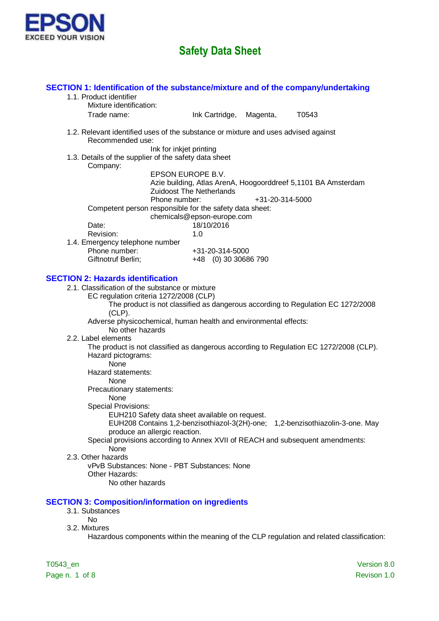

| SECTION 1: Identification of the substance/mixture and of the company/undertaking<br>1.1. Product identifier                           |                                                      |                 |                                                               |             |
|----------------------------------------------------------------------------------------------------------------------------------------|------------------------------------------------------|-----------------|---------------------------------------------------------------|-------------|
| Mixture identification:                                                                                                                |                                                      |                 |                                                               |             |
| Trade name:                                                                                                                            | Ink Cartridge,                                       | Magenta,        | T0543                                                         |             |
| 1.2. Relevant identified uses of the substance or mixture and uses advised against<br>Recommended use:                                 |                                                      |                 |                                                               |             |
| 1.3. Details of the supplier of the safety data sheet<br>Company:                                                                      | Ink for inkjet printing                              |                 |                                                               |             |
|                                                                                                                                        | EPSON EUROPE B.V.<br><b>Zuidoost The Netherlands</b> |                 | Azie building, Atlas ArenA, Hoogoorddreef 5,1101 BA Amsterdam |             |
| Phone number:<br>Competent person responsible for the safety data sheet:                                                               |                                                      | +31-20-314-5000 |                                                               |             |
| Date:                                                                                                                                  | chemicals@epson-europe.com<br>18/10/2016             |                 |                                                               |             |
| Revision:                                                                                                                              | 1.0                                                  |                 |                                                               |             |
| 1.4. Emergency telephone number                                                                                                        |                                                      |                 |                                                               |             |
| Phone number:                                                                                                                          | +31-20-314-5000                                      |                 |                                                               |             |
| Giftnotruf Berlin;                                                                                                                     | +48 (0) 30 30686 790                                 |                 |                                                               |             |
| <b>SECTION 2: Hazards identification</b>                                                                                               |                                                      |                 |                                                               |             |
| 2.1. Classification of the substance or mixture                                                                                        |                                                      |                 |                                                               |             |
| EC regulation criteria 1272/2008 (CLP)<br>The product is not classified as dangerous according to Regulation EC 1272/2008<br>$(CLP)$ . |                                                      |                 |                                                               |             |
| Adverse physicochemical, human health and environmental effects:<br>No other hazards                                                   |                                                      |                 |                                                               |             |
| 2.2. Label elements                                                                                                                    |                                                      |                 |                                                               |             |
| The product is not classified as dangerous according to Regulation EC 1272/2008 (CLP).                                                 |                                                      |                 |                                                               |             |
| Hazard pictograms:<br>None                                                                                                             |                                                      |                 |                                                               |             |
| Hazard statements:<br>None                                                                                                             |                                                      |                 |                                                               |             |
| Precautionary statements:                                                                                                              |                                                      |                 |                                                               |             |
| None<br><b>Special Provisions:</b>                                                                                                     |                                                      |                 |                                                               |             |
| EUH210 Safety data sheet available on request.                                                                                         |                                                      |                 |                                                               |             |
| EUH208 Contains 1,2-benzisothiazol-3(2H)-one; 1,2-benzisothiazolin-3-one. May                                                          |                                                      |                 |                                                               |             |
| produce an allergic reaction.<br>Special provisions according to Annex XVII of REACH and subsequent amendments:<br>None                |                                                      |                 |                                                               |             |
| 2.3. Other hazards                                                                                                                     |                                                      |                 |                                                               |             |
| vPvB Substances: None - PBT Substances: None                                                                                           |                                                      |                 |                                                               |             |
| Other Hazards:                                                                                                                         |                                                      |                 |                                                               |             |
| No other hazards                                                                                                                       |                                                      |                 |                                                               |             |
| <b>SECTION 3: Composition/information on ingredients</b>                                                                               |                                                      |                 |                                                               |             |
| 3.1. Substances                                                                                                                        |                                                      |                 |                                                               |             |
| <b>No</b><br>3.2. Mixtures                                                                                                             |                                                      |                 |                                                               |             |
| Hazardous components within the meaning of the CLP regulation and related classification:                                              |                                                      |                 |                                                               |             |
| T0543_en                                                                                                                               |                                                      |                 |                                                               | Version 8.0 |

Page n. 1 of 8 Revison 1.0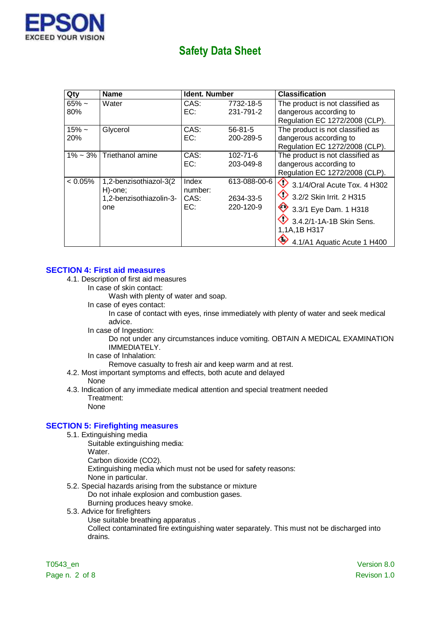

| Qty         | <b>Name</b>                        | <b>Ident. Number</b> |                | <b>Classification</b>                   |
|-------------|------------------------------------|----------------------|----------------|-----------------------------------------|
| $65% -$     | Water                              | CAS:                 | 7732-18-5      | The product is not classified as        |
| 80%         |                                    | EC:                  | 231-791-2      | dangerous according to                  |
|             |                                    |                      |                | Regulation EC 1272/2008 (CLP).          |
| $15% -$     | Glycerol                           | CAS:                 | $56 - 81 - 5$  | The product is not classified as        |
| 20%         |                                    | EC:                  | 200-289-5      | dangerous according to                  |
|             |                                    |                      |                | Regulation EC 1272/2008 (CLP).          |
| $1\% - 3\%$ | Triethanol amine                   | CAS:                 | $102 - 71 - 6$ | The product is not classified as        |
|             |                                    | EC:                  | 203-049-8      | dangerous according to                  |
|             |                                    |                      |                | Regulation EC 1272/2008 (CLP).          |
| $< 0.05\%$  | 1,2-benzisothiazol-3(2             | Index<br>number:     | 613-088-00-6   | $\bigcirc$ 3.1/4/Oral Acute Tox. 4 H302 |
|             | H)-one;<br>1,2-benzisothiazolin-3- | CAS:                 | 2634-33-5      | $\bigcirc$ 3.2/2 Skin Irrit. 2 H315     |
|             | one                                | EC:                  | 220-120-9      | 3.3/1 Eye Dam. 1 H318                   |
|             |                                    |                      |                | $9.342$ /1-1A-1B Skin Sens.             |
|             |                                    |                      |                | 1,1A,1B H317                            |
|             |                                    |                      |                | 4.1/A1 Aquatic Acute 1 H400             |

#### **SECTION 4: First aid measures**

- 4.1. Description of first aid measures
	- In case of skin contact:

Wash with plenty of water and soap.

In case of eyes contact:

In case of contact with eyes, rinse immediately with plenty of water and seek medical advice.

In case of Ingestion:

Do not under any circumstances induce vomiting. OBTAIN A MEDICAL EXAMINATION IMMEDIATELY.

In case of Inhalation:

Remove casualty to fresh air and keep warm and at rest.

- 4.2. Most important symptoms and effects, both acute and delayed
	- None
- 4.3. Indication of any immediate medical attention and special treatment needed Treatment:

None

#### **SECTION 5: Firefighting measures**

- 5.1. Extinguishing media
	- Suitable extinguishing media:
	- Water.
	- Carbon dioxide (CO2).
	- Extinguishing media which must not be used for safety reasons:
	- None in particular.
- 5.2. Special hazards arising from the substance or mixture Do not inhale explosion and combustion gases. Burning produces heavy smoke.
- 5.3. Advice for firefighters
	- Use suitable breathing apparatus .

Collect contaminated fire extinguishing water separately. This must not be discharged into drains.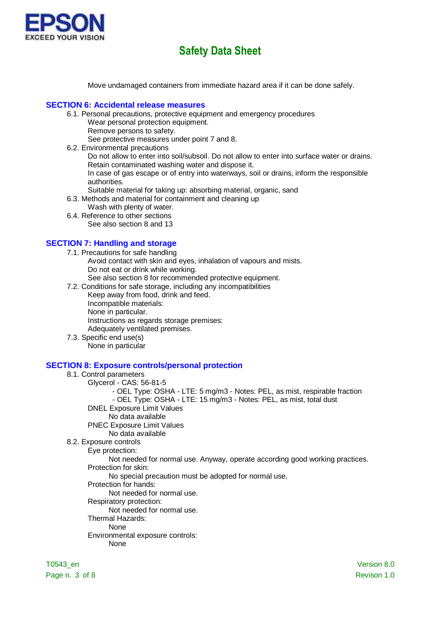

Move undamaged containers from immediate hazard area if it can be done safely.

#### **SECTION 6: Accidental release measures**

- 6.1. Personal precautions, protective equipment and emergency procedures Wear personal protection equipment.
	- Remove persons to safety.

See protective measures under point 7 and 8.

6.2. Environmental precautions Do not allow to enter into soil/subsoil. Do not allow to enter into surface water or drains. Retain contaminated washing water and dispose it.

In case of gas escape or of entry into waterways, soil or drains, inform the responsible authorities.

- Suitable material for taking up: absorbing material, organic, sand
- 6.3. Methods and material for containment and cleaning up
	- Wash with plenty of water.
- 6.4. Reference to other sections See also section 8 and 13

### **SECTION 7: Handling and storage**

- 7.1. Precautions for safe handling Avoid contact with skin and eyes, inhalation of vapours and mists. Do not eat or drink while working. See also section 8 for recommended protective equipment.
- 7.2. Conditions for safe storage, including any incompatibilities
	- Keep away from food, drink and feed. Incompatible materials: None in particular. Instructions as regards storage premises: Adequately ventilated premises.
- 7.3. Specific end use(s) None in particular

#### **SECTION 8: Exposure controls/personal protection**

### 8.1. Control parameters

- Glycerol CAS: 56-81-5
	- OEL Type: OSHA LTE: 5 mg/m3 Notes: PEL, as mist, respirable fraction
	- OEL Type: OSHA LTE: 15 mg/m3 Notes: PEL, as mist, total dust
- DNEL Exposure Limit Values
	- No data available
- PNEC Exposure Limit Values
	- No data available
- 8.2. Exposure controls
	- Eye protection:

Not needed for normal use. Anyway, operate according good working practices. Protection for skin:

No special precaution must be adopted for normal use.

Protection for hands:

#### Not needed for normal use.

- Respiratory protection:
	- Not needed for normal use.
- Thermal Hazards:

## None

- Environmental exposure controls:
	- None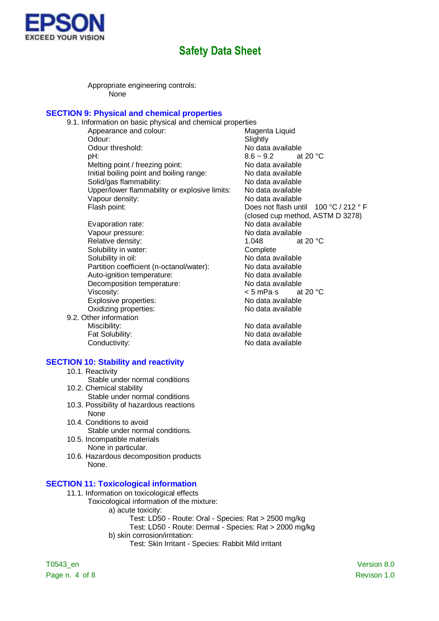

Appropriate engineering controls: None

### **SECTION 9: Physical and chemical properties**

- 9.1. Information on basic physical and chemical properties Appearance and colour: Magenta Liquid Odour: Slightly Odour threshold:  $\begin{array}{ccc}\n\bullet & \bullet & \bullet & \bullet \\
\bullet & \bullet & \bullet & \bullet \\
\bullet & \bullet & \bullet & \bullet \\
\bullet & \bullet & \bullet & \bullet \\
\bullet & \bullet & \bullet & \bullet\n\end{array}$ pH: 8.6 ~ 9.2 at 20 °C Melting point / freezing point: No data available Initial boiling point and boiling range: No data available Solid/gas flammability: No data available Upper/lower flammability or explosive limits: No data available Vapour density:  $\blacksquare$ Flash point: Does not flash until 100 °C / 212 ° F
- Evaporation rate: Vapour pressure: Vapour pressure: No data available Relative density:  $1.048$  at 20 °C<br>Solubility in water:  $\begin{array}{ccc} & 1.048 & \text{at } 20 \text{ }^{\circ}\text{C} \end{array}$ Solubility in water: Solubility in oil: No data available Partition coefficient (n-octanol/water): No data available Auto-ignition temperature:<br>
Decomposition temperature: No data available<br>
No data available Decomposition temperature: Viscosity:  $\leq 5 \text{ mPa·s}$  at 20 °C Explosive properties: No data available Oxidizing properties: No data available 9.2. Other information Miscibility: Miscibility: No data available
	- Fat Solubility:  $\blacksquare$  No data available Conductivity: No data available

#### **SECTION 10: Stability and reactivity**

- 10.1. Reactivity
	- Stable under normal conditions
- 10.2. Chemical stability Stable under normal conditions
- 10.3. Possibility of hazardous reactions None
- 10.4. Conditions to avoid Stable under normal conditions.
- 10.5. Incompatible materials None in particular.
- 10.6. Hazardous decomposition products None.

#### **SECTION 11: Toxicological information**

- 11.1. Information on toxicological effects
	- Toxicological information of the mixture:
		- a) acute toxicity:
			- Test: LD50 Route: Oral Species: Rat > 2500 mg/kg
		- Test: LD50 Route: Dermal Species: Rat > 2000 mg/kg b) skin corrosion/irritation:
			- Test: Skin Irritant Species: Rabbit Mild irritant

T0543\_en Version 8.0 Page n. 4 of 8 Revison 1.0

(closed cup method, ASTM D 3278)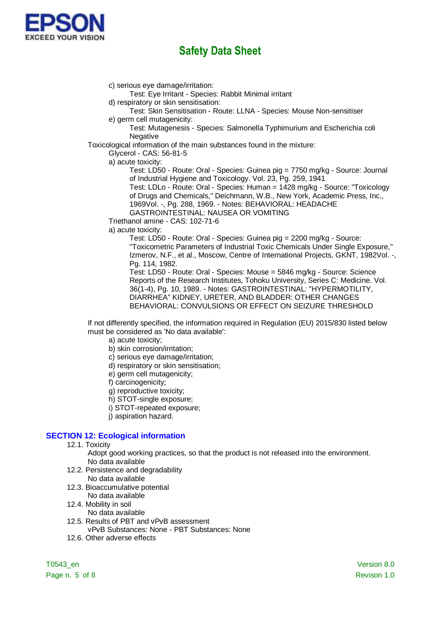

c) serious eye damage/irritation: Test: Eye Irritant - Species: Rabbit Minimal irritant d) respiratory or skin sensitisation: Test: Skin Sensitisation - Route: LLNA - Species: Mouse Non-sensitiser e) germ cell mutagenicity: Test: Mutagenesis - Species: Salmonella Typhimurium and Escherichia coli **Negative** Toxicological information of the main substances found in the mixture: Glycerol - CAS: 56-81-5 a) acute toxicity: Test: LD50 - Route: Oral - Species: Guinea pig = 7750 mg/kg - Source: Journal of Industrial Hygiene and Toxicology. Vol. 23, Pg. 259, 1941 Test: LDLo - Route: Oral - Species: Human = 1428 mg/kg - Source: "Toxicology of Drugs and Chemicals," Deichmann, W.B., New York, Academic Press, Inc., 1969Vol. -, Pg. 288, 1969. - Notes: BEHAVIORAL: HEADACHE GASTROINTESTINAL: NAUSEA OR VOMITING Triethanol amine - CAS: 102-71-6 a) acute toxicity: Test: LD50 - Route: Oral - Species: Guinea pig = 2200 mg/kg - Source: "Toxicometric Parameters of Industrial Toxic Chemicals Under Single Exposure," Izmerov, N.F., et al., Moscow, Centre of International Projects, GKNT, 1982Vol. -, Pg. 114, 1982. Test: LD50 - Route: Oral - Species: Mouse = 5846 mg/kg - Source: Science Reports of the Research Institutes, Tohoku University, Series C: Medicine. Vol. 36(1-4), Pg. 10, 1989. - Notes: GASTROINTESTINAL: "HYPERMOTILITY, DIARRHEA" KIDNEY, URETER, AND BLADDER: OTHER CHANGES BEHAVIORAL: CONVULSIONS OR EFFECT ON SEIZURE THRESHOLD

If not differently specified, the information required in Regulation (EU) 2015/830 listed below must be considered as 'No data available':

- a) acute toxicity;
- b) skin corrosion/irritation;
- c) serious eye damage/irritation;
- d) respiratory or skin sensitisation;
- e) germ cell mutagenicity;
- f) carcinogenicity;
- g) reproductive toxicity;
- h) STOT-single exposure;
- i) STOT-repeated exposure;
- i) aspiration hazard.

#### **SECTION 12: Ecological information**

12.1. Toxicity

Adopt good working practices, so that the product is not released into the environment. No data available

- 12.2. Persistence and degradability No data available
- 12.3. Bioaccumulative potential
	- No data available
- 12.4. Mobility in soil
	- No data available
- 12.5. Results of PBT and vPvB assessment
	- vPvB Substances: None PBT Substances: None
- 12.6. Other adverse effects

Page n. 5 of 8 Revison 1.0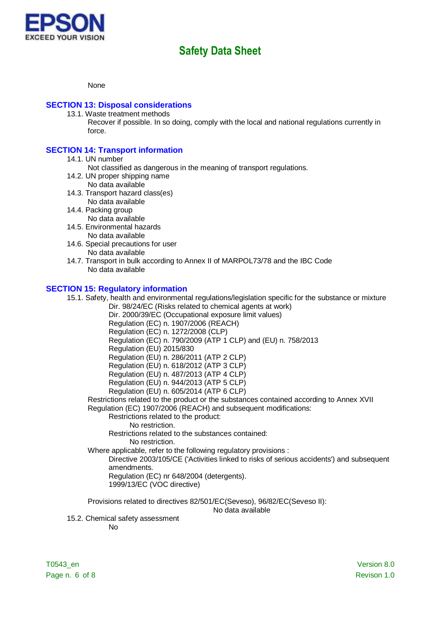

None

### **SECTION 13: Disposal considerations**

13.1. Waste treatment methods

Recover if possible. In so doing, comply with the local and national regulations currently in force.

### **SECTION 14: Transport information**

- 14.1. UN number
	- Not classified as dangerous in the meaning of transport regulations.
- 14.2. UN proper shipping name No data available
- 14.3. Transport hazard class(es) No data available
- 14.4. Packing group
- No data available
- 14.5. Environmental hazards No data available
- 14.6. Special precautions for user No data available
- 14.7. Transport in bulk according to Annex II of MARPOL73/78 and the IBC Code No data available

### **SECTION 15: Regulatory information**

15.1. Safety, health and environmental regulations/legislation specific for the substance or mixture Dir. 98/24/EC (Risks related to chemical agents at work)

Dir. 2000/39/EC (Occupational exposure limit values)

Regulation (EC) n. 1907/2006 (REACH)

Regulation (EC) n. 1272/2008 (CLP)

Regulation (EC) n. 790/2009 (ATP 1 CLP) and (EU) n. 758/2013

Regulation (EU) 2015/830

Regulation (EU) n. 286/2011 (ATP 2 CLP)

Regulation (EU) n. 618/2012 (ATP 3 CLP)

Regulation (EU) n. 487/2013 (ATP 4 CLP)

Regulation (EU) n. 944/2013 (ATP 5 CLP)

Regulation (EU) n. 605/2014 (ATP 6 CLP)

Restrictions related to the product or the substances contained according to Annex XVII Regulation (EC) 1907/2006 (REACH) and subsequent modifications:

Restrictions related to the product:

No restriction.

Restrictions related to the substances contained:

No restriction.

Where applicable, refer to the following regulatory provisions :

Directive 2003/105/CE ('Activities linked to risks of serious accidents') and subsequent amendments.

Regulation (EC) nr 648/2004 (detergents).

1999/13/EC (VOC directive)

Provisions related to directives 82/501/EC(Seveso), 96/82/EC(Seveso II):

No data available

15.2. Chemical safety assessment

No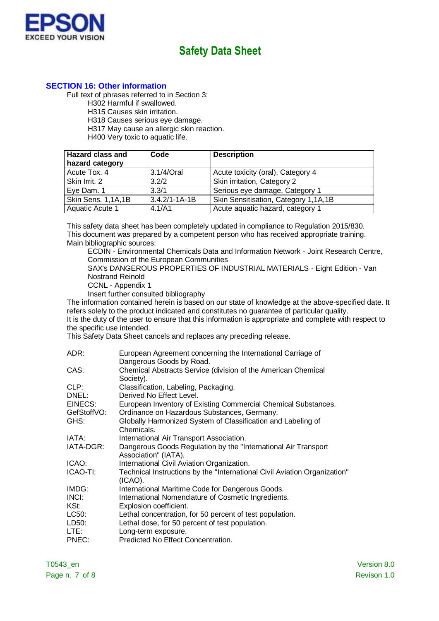

## **SECTION 16: Other information**

Full text of phrases referred to in Section 3:

H302 Harmful if swallowed.

H315 Causes skin irritation.

H318 Causes serious eye damage.

H317 May cause an allergic skin reaction.

H400 Very toxic to aquatic life.

| <b>Hazard class and</b><br>hazard category | Code                | <b>Description</b>                   |
|--------------------------------------------|---------------------|--------------------------------------|
| Acute Tox. 4                               | 3.1/4/Oral          | Acute toxicity (oral), Category 4    |
| Skin Irrit. 2                              | 3.2/2               | Skin irritation, Category 2          |
| Eye Dam. 1                                 | 3.3/1               | Serious eye damage, Category 1       |
| Skin Sens. 1,1A,1B                         | $3.4.2/1 - 1A - 1B$ | Skin Sensitisation, Category 1,1A,1B |
| Aquatic Acute 1                            | 4.1/A1              | Acute aquatic hazard, category 1     |

This safety data sheet has been completely updated in compliance to Regulation 2015/830. This document was prepared by a competent person who has received appropriate training. Main bibliographic sources:

ECDIN - Environmental Chemicals Data and Information Network - Joint Research Centre, Commission of the European Communities

SAX's DANGEROUS PROPERTIES OF INDUSTRIAL MATERIALS - Eight Edition - Van Nostrand Reinold

CCNL - Appendix 1

Insert further consulted bibliography

The information contained herein is based on our state of knowledge at the above-specified date. It refers solely to the product indicated and constitutes no guarantee of particular quality.

It is the duty of the user to ensure that this information is appropriate and complete with respect to the specific use intended.

This Safety Data Sheet cancels and replaces any preceding release.

| ADR:        | European Agreement concerning the International Carriage of<br>Dangerous Goods by Road. |
|-------------|-----------------------------------------------------------------------------------------|
| CAS:        | Chemical Abstracts Service (division of the American Chemical<br>Society).              |
| CLP:        | Classification, Labeling, Packaging.                                                    |
| DNEL:       | Derived No Effect Level.                                                                |
| EINECS:     | European Inventory of Existing Commercial Chemical Substances.                          |
| GefStoffVO: | Ordinance on Hazardous Substances, Germany.                                             |
| GHS:        | Globally Harmonized System of Classification and Labeling of                            |
|             | Chemicals.                                                                              |
| IATA:       | International Air Transport Association.                                                |
| IATA-DGR:   | Dangerous Goods Regulation by the "International Air Transport<br>Association" (IATA).  |
| ICAO:       | International Civil Aviation Organization.                                              |
| ICAO-TI:    | Technical Instructions by the "International Civil Aviation Organization"<br>(ICAO).    |
| IMDG:       | International Maritime Code for Dangerous Goods.                                        |
| INCI:       | International Nomenclature of Cosmetic Ingredients.                                     |
| KSt:        | Explosion coefficient.                                                                  |
| LC50:       | Lethal concentration, for 50 percent of test population.                                |
| LD50:       | Lethal dose, for 50 percent of test population.                                         |
| LTE:        | Long-term exposure.                                                                     |
| PNEC:       | Predicted No Effect Concentration.                                                      |